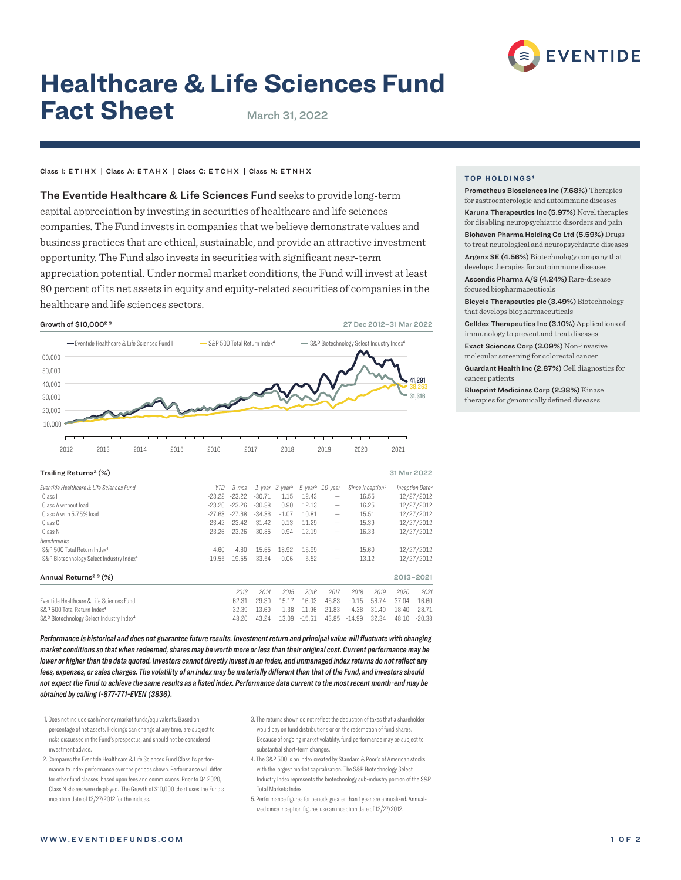

# **Healthcare & Life Sciences Fund Fact Sheet** March 31, 2022

# Class I: ETIHX | Class A: ETAHX | Class C: ETCHX | Class N: ETNHX

The Eventide Healthcare & Life Sciences Fund seeks to provide long-term capital appreciation by investing in securities of healthcare and life sciences companies. The Fund invests in companies that we believe demonstrate values and business practices that are ethical, sustainable, and provide an attractive investment opportunity. The Fund also invests in securities with significant near-term appreciation potential. Under normal market conditions, the Fund will invest at least 80 percent of its net assets in equity and equity-related securities of companies in the healthcare and life sciences sectors.



| Trailing Returns <sup>3</sup> (%)                    |          |                                  |                                  |                         |                         |                                             |          |                              | 31 Mar 2022              |                             |
|------------------------------------------------------|----------|----------------------------------|----------------------------------|-------------------------|-------------------------|---------------------------------------------|----------|------------------------------|--------------------------|-----------------------------|
| Fventide Healthcare & Life Sciences Fund             | YTD.     | 3-mos                            |                                  | $1$ -vear $3$ -vear $5$ |                         | $5$ -vear <sup><math>5</math></sup> 10-vear |          | Since Inception <sup>5</sup> |                          | Inception Date <sup>5</sup> |
| Class I                                              | -23.22   | $-23.22$<br>$-23.26$<br>$-27.68$ | $-30.71$<br>$-30.88$<br>$-34.86$ | 1.15<br>0.90<br>$-1.07$ | 12.43<br>12.13<br>10.81 | -                                           |          | 16.55                        | 12/27/2012<br>12/27/2012 |                             |
| Class A without load                                 | $-23.26$ |                                  |                                  |                         |                         | -                                           |          | 16.25                        |                          |                             |
| Class A with 5.75% load                              | $-27.68$ |                                  |                                  |                         |                         | $\qquad \qquad -$                           |          | 15.51                        | 12/27/2012               |                             |
| Class C                                              |          | $-23.42 - 23.42$                 | $-31.42$                         | 0.13                    | 11.29                   | -                                           |          | 15.39                        | 12/27/2012               |                             |
| Class N                                              |          | $-23.26 - 23.26$                 | $-30.85$                         | 0.94                    | 12.19                   | $\qquad \qquad$                             |          | 16.33                        |                          | 12/27/2012                  |
| <b>Benchmarks</b>                                    |          |                                  |                                  |                         |                         |                                             |          |                              |                          |                             |
| S&P 500 Total Return Index <sup>4</sup>              | $-4.60$  | $-4.60$                          | 15.65                            | 18.92                   | 15.99                   | -                                           |          | 15.60                        | 12/27/2012               |                             |
| S&P Biotechnology Select Industry Index <sup>4</sup> | $-19.55$ | $-19.55$                         | $-33.54$                         | $-0.06$                 | 5.52                    | $\qquad \qquad$                             |          | 13.12                        | 12/27/2012               |                             |
| Annual Returns <sup>2 3</sup> (%)                    |          |                                  |                                  |                         |                         |                                             |          |                              |                          | 2013-2021                   |
|                                                      |          | 2013                             | 2014                             | 2015                    | 2016                    | 2017                                        | 2018     | 2019                         | 2020                     | 2021                        |
| Eventide Healthcare & Life Sciences Eund L           |          | 62.31                            | 29.30                            | 15.17                   | $-16.03$                | 45.83                                       | $-0.15$  | 58.74                        | 37.04                    | $-16.60$                    |
| S&P 500 Total Return Index <sup>4</sup>              |          | 32.39                            | 13.69                            | 1.38                    | 11.96                   | 21.83                                       | $-4.38$  | 31.49                        | 18.40                    | 28.71                       |
| S&P Biotechnology Select Industry Index <sup>4</sup> |          | 48.20                            | 43.24                            | 13.09                   | $-15.61$                | 43.85                                       | $-14.99$ | 32.34                        | 48.10                    | $-20.38$                    |

*Performance is historical and does not guarantee future results. Investment return and principal value will fluctuate with changing market conditions so that when redeemed, shares may be worth more or less than their original cost. Current performance may be lower or higher than the data quoted. Investors cannot directly invest in an index, and unmanaged index returns do not reflect any fees, expenses, or sales charges. The volatility of an index may be materially different than that of the Fund, and investors should not expect the Fund to achieve the same results as a listed index. Performance data current to the most recent month-end may be obtained by calling 1-877-771-EVEN (3836).*

- 1. Does not include cash/money market funds/equivalents. Based on percentage of net assets. Holdings can change at any time, are subject to risks discussed in the Fund's prospectus, and should not be considered investment advice.
- 2. Compares the Eventide Healthcare & Life Sciences Fund Class I's performance to index performance over the periods shown. Performance will differ for other fund classes, based upon fees and commissions. Prior to Q4 2020, Class N shares were displayed. The Growth of \$10,000 chart uses the Fund's inception date of 12/27/2012 for the indices.
- 3. The returns shown do not reflect the deduction of taxes that a shareholder would pay on fund distributions or on the redemption of fund shares. Because of ongoing market volatility, fund performance may be subject to substantial short-term changes.
- 4. The S&P 500 is an index created by Standard & Poor's of American stocks with the largest market capitalization. The S&P Biotechnology Select Industry Index represents the biotechnology sub-industry portion of the S&P Total Markets Index.
- 5. Performance figures for periods greater than 1 year are annualized. Annualized since inception figures use an inception date of 12/27/2012.

## **TOP HOLDINGS<sup>1</sup>**

Prometheus Biosciences Inc (7.68%) Therapies for gastroenterologic and autoimmune diseases Karuna Therapeutics Inc (5.97%) Novel therapies for disabling neuropsychiatric disorders and pain

Biohaven Pharma Holding Co Ltd (5.59%) Drugs to treat neurological and neuropsychiatric diseases

Argenx SE (4.56%) Biotechnology company that develops therapies for autoimmune diseases Ascendis Pharma A/S (4.24%) Rare-disease

focused biopharmaceuticals Bicycle Therapeutics plc (3.49%) Biotechnology that develops biopharmaceuticals

Celldex Therapeutics Inc (3.10%) Applications of immunology to prevent and treat diseases Exact Sciences Corp (3.09%) Non-invasive molecular screening for colorectal cancer Guardant Health Inc (2.87%) Cell diagnostics for cancer patients

Blueprint Medicines Corp (2.38%) Kinase therapies for genomically defined diseases